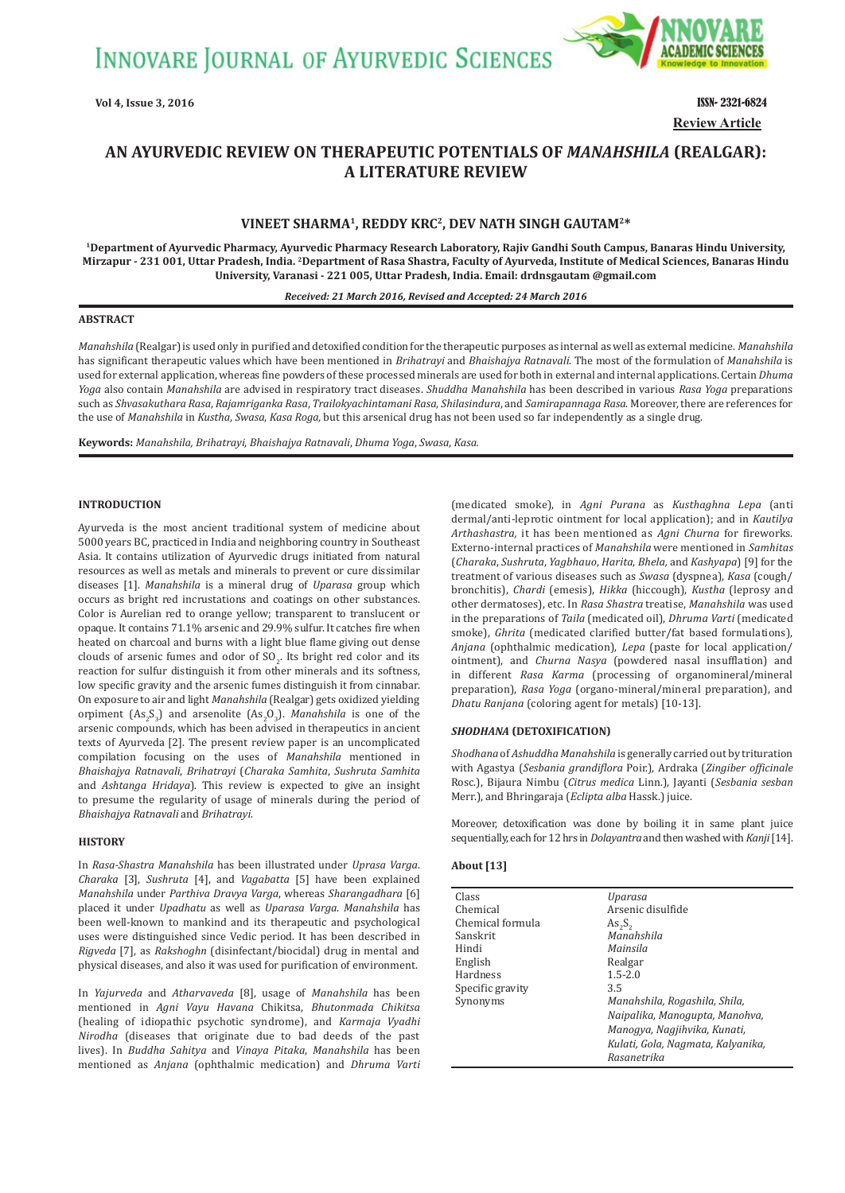**INNOVARE JOURNAL OF AYURVEDIC SCIENCES** 



**Vol 4, Issue 3, 2016** ISSN- 2321-6824 **Review Article**

# AN AYURVEDIC REVIEW ON THERAPEUTIC POTENTIALS OF *MANAHSHILA* (REALGAR): **A LITERATURE REVIEW**

# **VINEET SHARMA1, REDDY KRC2, DEV NATH SINGH GAUTAM2\***

**1Department of Ayurvedic Pharmacy, Ayurvedic Pharmacy Research Laboratory, Rajiv Gandhi South Campus, Banaras Hindu University, Mirzapur - 231 001, Uttar Pradesh, India. 2Department of Rasa Shastra, Faculty of Ayurveda, Institute of Medical Sciences, Banaras Hindu University, Varanasi - 221 005, Uttar Pradesh, India. Email: drdnsgautam @gmail.com**

#### *Received: 21 March 2016, Revised and Accepted: 24 March 2016*

#### **ABSTRACT**

*Manahshila* (Realgar)is used only in purified and detoxified condition for the therapeutic purposes as internal as well as external medicine. *Manahshila* has significant therapeutic values which have been mentioned in *Brihatrayi* and *Bhaishajya Ratnavali*. The most of the formulation of *Manahshila* is used for external application, whereas fine powders of these processed minerals are used for both in external and internal applications. Certain *Dhuma Yoga* also contain *Manahshila* are advised in respiratory tract diseases. *Shuddha Manahshila* has been described in various *Rasa Yoga* preparations such as *Shvasakuthara Rasa*, *Rajamriganka Rasa*, *Trailokyachintamani Rasa*, *Shilasindura*, and *Samirapannaga Rasa*. Moreover, there are references for the use of *Manahshila* in *Kustha*, *Swasa*, *Kasa Roga,* but this arsenical drug has not been used so far independently as a single drug.

**Keywords:** *Manahshila, Brihatrayi*, *Bhaishajya Ratnavali*, *Dhuma Yoga*, *Swasa*, *Kasa.*

### **INTRODUCTION**

Ayurveda is the most ancient traditional system of medicine about 5000 years BC, practiced in India and neighboring country in Southeast Asia. It contains utilization of Ayurvedic drugs initiated from natural resources as well as metals and minerals to prevent or cure dissimilar diseases [1]. *Manahshila* is a mineral drug of *Uparasa* group which occurs as bright red incrustations and coatings on other substances. Color is Aurelian red to orange yellow; transparent to translucent or opaque. It contains 71.1% arsenic and 29.9% sulfur. It catches fire when heated on charcoal and burns with a light blue flame giving out dense clouds of arsenic fumes and odor of  $SO_2$ . Its bright red color and its reaction for sulfur distinguish it from other minerals and its softness, low specific gravity and the arsenic fumes distinguish it from cinnabar. On exposure to air and light *Manahshila* (Realgar) gets oxidized yielding orpiment  $(As_2S_3)$  and arsenolite  $(As_2O_3)$ . *Manahshila* is one of the arsenic compounds, which has been advised in therapeutics in ancient texts of Ayurveda [2]. The present review paper is an uncomplicated compilation focusing on the uses of *Manahshila* mentioned in *Bhaishajya Ratnavali*, *Brihatrayi* (*Charaka Samhita*, *Sushruta Samhita*  and *Ashtanga Hridaya*). This review is expected to give an insight to presume the regularity of usage of minerals during the period of *Bhaishajya Ratnavali* and *Brihatrayi*.

#### **HISTORY**

In *Rasa-Shastra Manahshila* has been illustrated under *Uprasa Varga*. *Charaka* [3], *Sushruta* [4], and *Vagabatta* [5] have been explained *Manahshila* under *Parthiva Dravya Varga*, whereas *Sharangadhara* [6] placed it under *Upadhatu* as well as *Uparasa Varga*. *Manahshila* has been well-known to mankind and its therapeutic and psychological uses were distinguished since Vedic period. It has been described in *Rigveda* [7], as *Rakshoghn* (disinfectant/biocidal) drug in mental and physical diseases, and also it was used for purification of environment.

In *Yajurveda* and *Atharvaveda* [8], usage of *Manahshila* has been mentioned in *Agni Vayu Havana* Chikitsa, *Bhutonmada Chikitsa* (healing of idiopathic psychotic syndrome), and *Karmaja Vyadhi Nirodha* (diseases that originate due to bad deeds of the past lives). In *Buddha Sahitya* and *Vinaya Pitaka*, *Manahshila* has been mentioned as *Anjana* (ophthalmic medication) and *Dhruma Varti* (medicated smoke), in *Agni Purana* as *Kusthaghna Lepa* (anti dermal/anti-leprotic ointment for local application); and in *Kautilya Arthashastra,* it has been mentioned as *Agni Churna* for fireworks. Externo-internal practices of *Manahshila* were mentioned in *Samhitas*  (*Charaka*, *Sushruta*, *Yagbhauo*, *Harita*, *Bhela,* and *Kashyapa*) [9] for the treatment of various diseases such as *Swasa* (dyspnea), *Kasa* (cough/ bronchitis), *Chardi* (emesis), *Hikka* (hiccough), *Kustha* (leprosy and other dermatoses), etc. In *Rasa Shastra* treatise, *Manahshila* was used in the preparations of *Taila* (medicated oil), *Dhruma Varti* (medicated smoke), *Ghrita* (medicated clarified butter/fat based formulations), *Anjana* (ophthalmic medication), *Lepa* (paste for local application/ ointment), and *Churna Nasya* (powdered nasal insufflation) and in different *Rasa Karma* (processing of organomineral/mineral preparation), *Rasa Yoga* (organo-mineral/mineral preparation), and *Dhatu Ranjana* (coloring agent for metals) [10-13].

#### **SHODHANA (DETOXIFICATION)**

*Shodhana* of *Ashuddha Manahshila* is generally carried out by trituration with Agastya (*Sesbania grandiflora* Poir.), Ardraka (*Zingiber officinale* Rosc.), Bijaura Nimbu (*Citrus medica* Linn.), Jayanti (*Sesbania sesban* Merr.), and Bhringaraja (*Eclipta alba* Hassk.) juice.

Moreover, detoxification was done by boiling it in same plant juice sequentially, each for 12 hrs in *Dolayantra* and then washed with *Kanji* [14].

#### **About [13]**

| Class            | Uparasa                           |
|------------------|-----------------------------------|
| Chemical         | Arsenic disulfide                 |
| Chemical formula | $As_{2}S_{2}$                     |
| Sanskrit         | Manahshila                        |
| Hindi            | Mainsila                          |
| English          | Realgar                           |
| Hardness         | $1.5 - 2.0$                       |
| Specific gravity | 3.5                               |
| Synonyms         | Manahshila, Rogashila, Shila,     |
|                  | Naipalika, Manogupta, Manohva,    |
|                  | Manogya, Nagjihvika, Kunati,      |
|                  | Kulati, Gola, Nagmata, Kalyanika, |
|                  | Rasanetrika                       |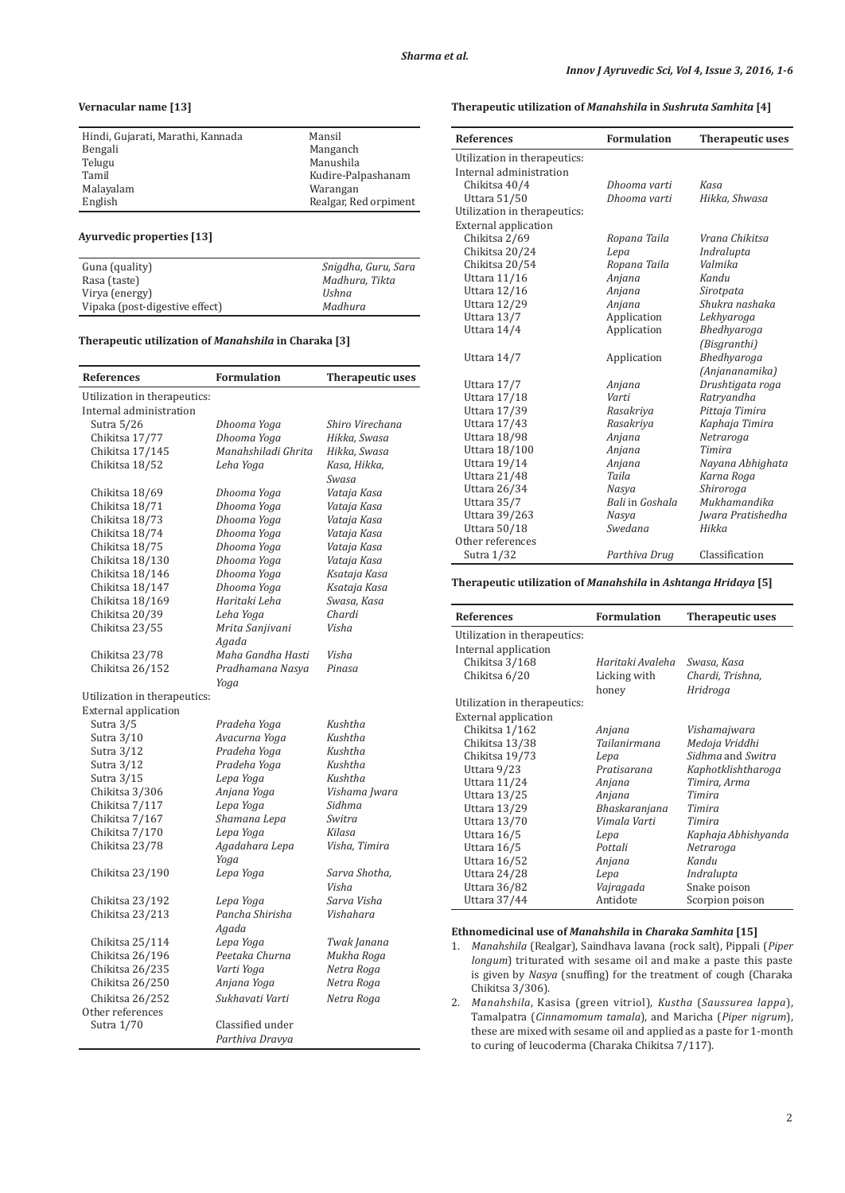# **Vernacular name [13]**

| Hindi, Gujarati, Marathi, Kannada | Mansil                |
|-----------------------------------|-----------------------|
| Bengali                           | Manganch              |
| Telugu                            | Manushila             |
| Tamil                             | Kudire-Palpashanam    |
| Malayalam                         | Warangan              |
| English                           | Realgar, Red orpiment |

### **Ayurvedic properties [13]**

| Guna (quality)                 | Snigdha, Guru, Sara |
|--------------------------------|---------------------|
| Rasa (taste)                   | Madhura, Tikta      |
| Virya (energy)                 | Ushna               |
| Vipaka (post-digestive effect) | Madhura             |

#### **Therapeutic utilization of** *Manahshila* **in Charaka [3]**

| References                   | <b>Formulation</b>  | <b>Therapeutic uses</b> |
|------------------------------|---------------------|-------------------------|
| Utilization in therapeutics: |                     |                         |
| Internal administration      |                     |                         |
| Sutra 5/26                   | Dhooma Yoga         | Shiro Virechana         |
| Chikitsa 17/77               | Dhooma Yoga         | Hikka, Swasa            |
| Chikitsa 17/145              | Manahshiladi Ghrita | Hikka, Swasa            |
| Chikitsa 18/52               | Leha Yoga           | Kasa, Hikka,            |
|                              |                     | Swasa                   |
| Chikitsa 18/69               | Dhooma Yoga         | Vataja Kasa             |
| Chikitsa 18/71               | Dhooma Yoga         | Vataja Kasa             |
| Chikitsa 18/73               | Dhooma Yoga         | Vataja Kasa             |
| Chikitsa 18/74               | Dhooma Yoga         | Vataja Kasa             |
| Chikitsa 18/75               | Dhooma Yoga         | Vataja Kasa             |
| Chikitsa 18/130              | Dhooma Yoga         | Vataja Kasa             |
| Chikitsa 18/146              | Dhooma Yoga         | Ksataja Kasa            |
| Chikitsa 18/147              | Dhooma Yoga         | Ksataja Kasa            |
| Chikitsa 18/169              | Haritaki Leha       | Swasa, Kasa             |
| Chikitsa 20/39               | Leha Yoga           | Chardi                  |
| Chikitsa 23/55               | Mrita Sanjivani     | Visha                   |
|                              | Agada               |                         |
| Chikitsa 23/78               | Maha Gandha Hasti   | Visha                   |
| Chikitsa 26/152              | Pradhamana Nasya    | Pinasa                  |
|                              | Yoga                |                         |
| Utilization in therapeutics: |                     |                         |
| <b>External application</b>  |                     |                         |
| Sutra 3/5                    | Pradeha Yoga        | Kushtha                 |
| Sutra 3/10                   | Avacurna Yoga       | Kushtha                 |
| Sutra 3/12                   | Pradeha Yoga        | Kushtha                 |
| Sutra 3/12                   | Pradeha Yoga        | Kushtha                 |
| Sutra 3/15                   | Lepa Yoga           | Kushtha                 |
| Chikitsa 3/306               | Anjana Yoga         | Vishama Jwara           |
| Chikitsa 7/117               | Lepa Yoga           | Sidhma                  |
| Chikitsa 7/167               | Shamana Lepa        | Switra                  |
| Chikitsa 7/170               | Lepa Yoga           | Kilasa                  |
| Chikitsa 23/78               | Agadahara Lepa      | Visha, Timira           |
|                              | Yoga                |                         |
| Chikitsa 23/190              | Lepa Yoga           | Sarva Shotha,           |
|                              |                     | Visha                   |
| Chikitsa 23/192              | Lepa Yoga           | Sarva Visha             |
| Chikitsa 23/213              | Pancha Shirisha     | Vishahara               |
|                              | Agada               |                         |
| Chikitsa 25/114              | Lepa Yoga           | Twak Janana             |
| Chikitsa 26/196              | Peetaka Churna      | Mukha Roga              |
| Chikitsa 26/235              | Varti Yoga          | Netra Roga              |
| Chikitsa 26/250              | Anjana Yoga         | Netra Roga              |
|                              |                     |                         |
| Chikitsa 26/252              | Sukhavati Varti     | Netra Roga              |
| Other references             |                     |                         |
| Sutra 1/70                   | Classified under    |                         |
|                              | Parthiva Dravya     |                         |

### **Therapeutic utilization of** *Manahshila* **in** *Sushruta Samhita* **[4]**

| <b>References</b>            | <b>Formulation</b> | Therapeutic uses  |
|------------------------------|--------------------|-------------------|
| Utilization in therapeutics: |                    |                   |
| Internal administration      |                    |                   |
| Chikitsa 40/4                | Dhooma varti       | Kasa              |
| Uttara 51/50                 | Dhooma varti       | Hikka, Shwasa     |
| Utilization in therapeutics: |                    |                   |
| <b>External application</b>  |                    |                   |
| Chikitsa 2/69                | Ropana Taila       | Vrana Chikitsa    |
| Chikitsa 20/24               | Lepa               | Indralupta        |
| Chikitsa 20/54               | Ropana Taila       | Valmika           |
| Uttara 11/16                 | Anjana             | Kandu             |
| Uttara 12/16                 | Anjana             | Sirotpata         |
| Uttara 12/29                 | Anjana             | Shukra nashaka    |
| Uttara 13/7                  | Application        | Lekhyaroga        |
| Uttara 14/4                  | Application        | Bhedhyaroga       |
|                              |                    | (Bisgranthi)      |
| Uttara 14/7                  | Application        | Bhedhyaroga       |
|                              |                    | (Anjananamika)    |
| Uttara 17/7                  | Anjana             | Drushtigata roga  |
| Uttara 17/18                 | Varti              | Ratryandha        |
| Uttara 17/39                 | Rasakriya          | Pittaja Timira    |
| Uttara 17/43                 | Rasakriya          | Kaphaja Timira    |
| Uttara 18/98                 | Anjana             | Netraroga         |
| Uttara 18/100                | Anjana             | Timira            |
| Uttara 19/14                 | Anjana             | Nayana Abhighata  |
| Uttara 21/48                 | Taila              | Karna Roga        |
| Uttara 26/34                 | Nasya              | Shiroroga         |
| Uttara 35/7                  | Bali in Goshala    | Mukhamandika      |
| Uttara 39/263                | Nasya              | Jwara Pratishedha |
| Uttara 50/18                 | Swedana            | Hikka             |
| Other references             |                    |                   |
| Sutra 1/32                   | Parthiva Drug      | Classification    |

### **Therapeutic utilization of** *Manahshila* **in** *Ashtanga Hridaya* **[5]**

| <b>References</b>            | Formulation      | Therapeutic uses    |
|------------------------------|------------------|---------------------|
| Utilization in therapeutics: |                  |                     |
| Internal application         |                  |                     |
| Chikitsa 3/168               | Haritaki Avaleha | Swasa, Kasa         |
| Chikitsa 6/20                | Licking with     | Chardi, Trishna,    |
|                              | honey            | Hridroga            |
| Utilization in therapeutics: |                  |                     |
| External application         |                  |                     |
| Chikitsa 1/162               | Anjana           | Vishamajwara        |
| Chikitsa 13/38               | Tailanirmana     | Medoja Vriddhi      |
| Chikitsa 19/73               | Lepa             | Sidhma and Switra   |
| Uttara 9/23                  | Pratisarana      | Kaphotklishtharoga  |
| Uttara 11/24                 | Anjana           | Timira, Arma        |
| Uttara 13/25                 | Anjana           | Timira              |
| Uttara 13/29                 | Bhaskaranjana    | Timira              |
| Uttara 13/70                 | Vimala Varti     | Timira              |
| Uttara 16/5                  | Lepa             | Kaphaja Abhishyanda |
| Uttara 16/5                  | Pottali          | Netraroga           |
| Uttara 16/52                 | Anjana           | Kandu               |
| Uttara 24/28                 | Lepa             | Indralupta          |
| Uttara 36/82                 | Vajragada        | Snake poison        |
| Uttara 37/44                 | Antidote         | Scorpion poison     |

### **Ethnomedicinal use of** *Manahshila* **in** *Charaka Samhita* **[15]**

- 1. *Manahshila* (Realgar), Saindhava lavana (rock salt), Pippali (*Piper longum*) triturated with sesame oil and make a paste this paste is given by *Nasya* (snuffing) for the treatment of cough (Charaka Chikitsa 3/306).
- 2. *Manahshila*, Kasisa (green vitriol), *Kustha* (*Saussurea lappa*), Tamalpatra (*Cinnamomum tamala*), and Maricha (*Piper nigrum*), these are mixed with sesame oil and applied as a paste for 1-month to curing of leucoderma (Charaka Chikitsa 7/117).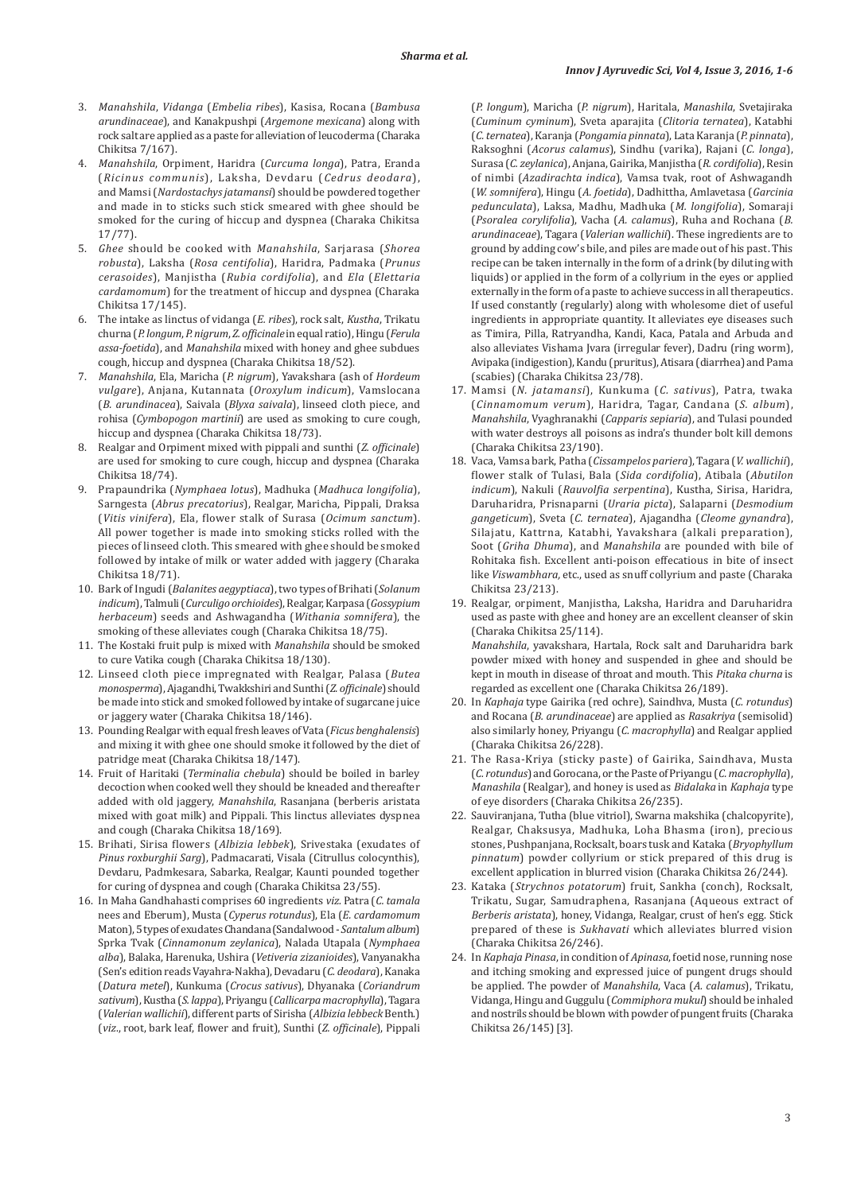- 3. *Manahshila*, *Vidanga* (*Embelia ribes*), Kasisa, Rocana (*Bambusa arundinaceae*), and Kanakpushpi (*Argemone mexicana*) along with rock salt are applied as a paste for alleviation of leucoderma (Charaka Chikitsa 7/167).
- 4. *Manahshila*, Orpiment, Haridra (*Curcuma longa*), Patra, Eranda (*Ricinus communis*), Laksha, Devdaru (*Cedrus deodara*), and Mamsi(*Nardostachys jatamansi*) should be powdered together and made in to sticks such stick smeared with ghee should be smoked for the curing of hiccup and dyspnea (Charaka Chikitsa 17/77).
- 5. *Ghee* should be cooked with *Manahshila*, Sarjarasa (*Shorea robusta*), Laksha (*Rosa centifolia*), Haridra, Padmaka (*Prunus cerasoides*), Manjistha (*Rubia cordifolia*), and *Ela* (*Elettaria cardamomum*) for the treatment of hiccup and dyspnea (Charaka Chikitsa 17/145).
- 6. The intake as linctus of vidanga (*E. ribes*), rock salt, *Kustha*, Trikatu churna (*P. longum*, *P. nigrum*, *Z. ofϔicinale* in equal ratio), Hingu (*Ferula assa-foetida*), and *Manahshila* mixed with honey and ghee subdues cough, hiccup and dyspnea (Charaka Chikitsa 18/52).
- 7. *Manahshila*, Ela, Maricha (*P. nigrum*), Yavakshara (ash of *Hordeum vulgare*), Anjana, Kutannata (*Oroxylum indicum*), Vamslocana (*B. arundinacea*), Saivala (*Blyxa saivala*), linseed cloth piece, and rohisa (*Cymbopogon martinii*) are used as smoking to cure cough, hiccup and dyspnea (Charaka Chikitsa 18/73).
- 8. Realgar and Orpiment mixed with pippali and sunthi (*Z. officinale*) are used for smoking to cure cough, hiccup and dyspnea (Charaka Chikitsa 18/74).
- 9. Prapaundrika (*Nymphaea lotus*), Madhuka (*Madhuca longifolia*), Sarngesta (*Abrus precatorius*), Realgar, Maricha, Pippali, Draksa (*Vitis vinifera*), Ela, ϐlower stalk of Surasa (*Ocimum sanctum*). All power together is made into smoking sticks rolled with the pieces of linseed cloth. This smeared with ghee should be smoked followed by intake of milk or water added with jaggery (Charaka Chikitsa 18/71).
- 10. Bark of Ingudi (*Balanites aegyptiaca*), two types of Brihati (*Solanum indicum*), Talmuli (*Curculigo orchioides*), Realgar, Karpasa (*Gossypium herbaceum*) seeds and Ashwagandha (*Withania somnifera*), the smoking of these alleviates cough (Charaka Chikitsa 18/75).
- 11. The Kostaki fruit pulp is mixed with *Manahshila* should be smoked to cure Vatika cough (Charaka Chikitsa 18/130).
- 12. Linseed cloth piece impregnated with Realgar, Palasa (*Butea monosperma*), Ajagandhi, Twakkshiri and Sunthi (*Z. ofϔicinale*) should be made into stick and smoked followed by intake of sugarcane juice or jaggery water (Charaka Chikitsa 18/146).
- 13. Pounding Realgar with equal fresh leaves of Vata (*Ficus benghalensis*) and mixing it with ghee one should smoke it followed by the diet of patridge meat (Charaka Chikitsa 18/147).
- 14. Fruit of Haritaki (*Terminalia chebula*) should be boiled in barley decoction when cooked well they should be kneaded and thereafter added with old jaggery, *Manahshila*, Rasanjana (berberis aristata mixed with goat milk) and Pippali. This linctus alleviates dyspnea and cough (Charaka Chikitsa 18/169).
- 15. Brihati, Sirisa ϐlowers (*Albizia lebbek*), Srivestaka (exudates of *Pinus roxburghii Sarg*), Padmacarati, Visala (Citrullus colocynthis), Devdaru, Padmkesara, Sabarka, Realgar, Kaunti pounded together for curing of dyspnea and cough (Charaka Chikitsa 23/55).
- 16. In Maha Gandhahasti comprises 60 ingredients *viz.* Patra (*C. tamala* nees and Eberum), Musta (*Cyperus rotundus*), Ela (*E. cardamomum* Maton), 5 types of exudates Chandana (Sandalwood - *Santalum album*) Sprka Tvak (*Cinnamonum zeylanica*), Nalada Utapala (*Nymphaea alba*), Balaka, Harenuka, Ushira (*Vetiveria zizanioides*), Vanyanakha (Sen's edition reads Vayahra-Nakha), Devadaru (*C. deodara*), Kanaka (*Datura metel*), Kunkuma (*Crocus sativus*), Dhyanaka (*Coriandrum sativum*), Kustha (*S. lappa*), Priyangu (*Callicarpa macrophylla*), Tagara (*Valerian wallichii*), different parts of Sirisha (*Albizia lebbeck* Benth.) (*viz*., root, bark leaf, ϐlower and fruit), Sunthi (*Z. ofϔicinale*), Pippali

(*P. longum*), Maricha (*P. nigrum*), Haritala, *Manashila*, Svetajiraka (*Cuminum cyminum*), Sveta aparajita (*Clitoria ternatea*), Katabhi (*C. ternatea*), Karanja (*Pongamia pinnata*), Lata Karanja (*P. pinnata*), Raksoghni (*Acorus calamus*), Sindhu (varika), Rajani (*C. longa*), Surasa (*C. zeylanica*), Anjana, Gairika, Manjistha (*R. cordifolia*), Resin of nimbi (*Azadirachta indica*), Vamsa tvak, root of Ashwagandh (*W. somnifera*), Hingu (*A. foetida*), Dadhittha, Amlavetasa (*Garcinia pedunculata*), Laksa, Madhu, Madhuka (*M. longifolia*), Somaraji (*Psoralea corylifolia*), Vacha (*A. calamus*), Ruha and Rochana (*B. arundinaceae*), Tagara (*Valerian wallichii*). These ingredients are to ground by adding cow's bile, and piles are made out of his past. This recipe can be taken internally in the form of a drink (by diluting with liquids) or applied in the form of a collyrium in the eyes or applied externally in the form of a paste to achieve success in all therapeutics. If used constantly (regularly) along with wholesome diet of useful ingredients in appropriate quantity. It alleviates eye diseases such as Timira, Pilla, Ratryandha, Kandi, Kaca, Patala and Arbuda and also alleviates Vishama Jvara (irregular fever), Dadru (ring worm), Avipaka (indigestion), Kandu (pruritus), Atisara (diarrhea) and Pama (scabies) (Charaka Chikitsa 23/78).

- 17. Mamsi (*N. jatamansi*), Kunkuma (*C. sativus*), Patra, twaka (*Cinnamomum verum*), Haridra, Tagar, Candana (*S. album*), *Manahshila*, Vyaghranakhi (*Capparis sepiaria*), and Tulasi pounded with water destroys all poisons as indra's thunder bolt kill demons (Charaka Chikitsa 23/190).
- 18. Vaca, Vamsa bark, Patha (*Cissampelos pariera*), Tagara (*V. wallichii*), ϐlower stalk of Tulasi, Bala (*Sida cordifolia*), Atibala (*Abutilon indicum*), Nakuli (*Rauvolϔia serpentina*), Kustha, Sirisa, Haridra, Daruharidra, Prisnaparni (*Uraria picta*), Salaparni (*Desmodium gangeticum*), Sveta (*C. ternatea*), Ajagandha (*Cleome gynandra*), Silajatu, Kattrna, Katabhi, Yavakshara (alkali preparation), Soot (*Griha Dhuma*), and *Manahshila* are pounded with bile of Rohitaka fish. Excellent anti-poison effecatious in bite of insect like *Viswambhara,* etc., used as snuff collyrium and paste (Charaka Chikitsa 23/213).
- 19. Realgar, orpiment, Manjistha, Laksha, Haridra and Daruharidra used as paste with ghee and honey are an excellent cleanser of skin (Charaka Chikitsa 25/114).  *Manahshila*, yavakshara, Hartala, Rock salt and Daruharidra bark

powder mixed with honey and suspended in ghee and should be kept in mouth in disease of throat and mouth. This *Pitaka churna* is regarded as excellent one (Charaka Chikitsa 26/189).

- 20. In *Kaphaja* type Gairika (red ochre), Saindhva, Musta (*C. rotundus*) and Rocana (*B. arundinaceae*) are applied as *Rasakriya* (semisolid) also similarly honey, Priyangu (*C. macrophylla*) and Realgar applied (Charaka Chikitsa 26/228).
- 21. The Rasa-Kriya (sticky paste) of Gairika, Saindhava, Musta (*C. rotundus*) and Gorocana, or the Paste of Priyangu (*C. macrophylla*), *Manashila* (Realgar), and honey is used as *Bidalaka* in *Kaphaja* type of eye disorders (Charaka Chikitsa 26/235).
- 22. Sauviranjana, Tutha (blue vitriol), Swarna makshika (chalcopyrite), Realgar, Chaksusya, Madhuka, Loha Bhasma (iron), precious stones, Pushpanjana, Rocksalt, boars tusk and Kataka (*Bryophyllum pinnatum*) powder collyrium or stick prepared of this drug is excellent application in blurred vision (Charaka Chikitsa 26/244).
- 23. Kataka (*Strychnos potatorum*) fruit, Sankha (conch), Rocksalt, Trikatu, Sugar, Samudraphena, Rasanjana (Aqueous extract of *Berberis aristata*), honey, Vidanga, Realgar, crust of hen's egg. Stick prepared of these is *Sukhavati* which alleviates blurred vision (Charaka Chikitsa 26/246).
- 24. In *Kaphaja Pinasa*, in condition of *Apinasa*, foetid nose, running nose and itching smoking and expressed juice of pungent drugs should be applied. The powder of *Manahshila*, Vaca (*A. calamus*), Trikatu, Vidanga, Hingu and Guggulu (*Commiphora mukul*) should be inhaled and nostrils should be blown with powder of pungent fruits (Charaka Chikitsa 26/145) [3].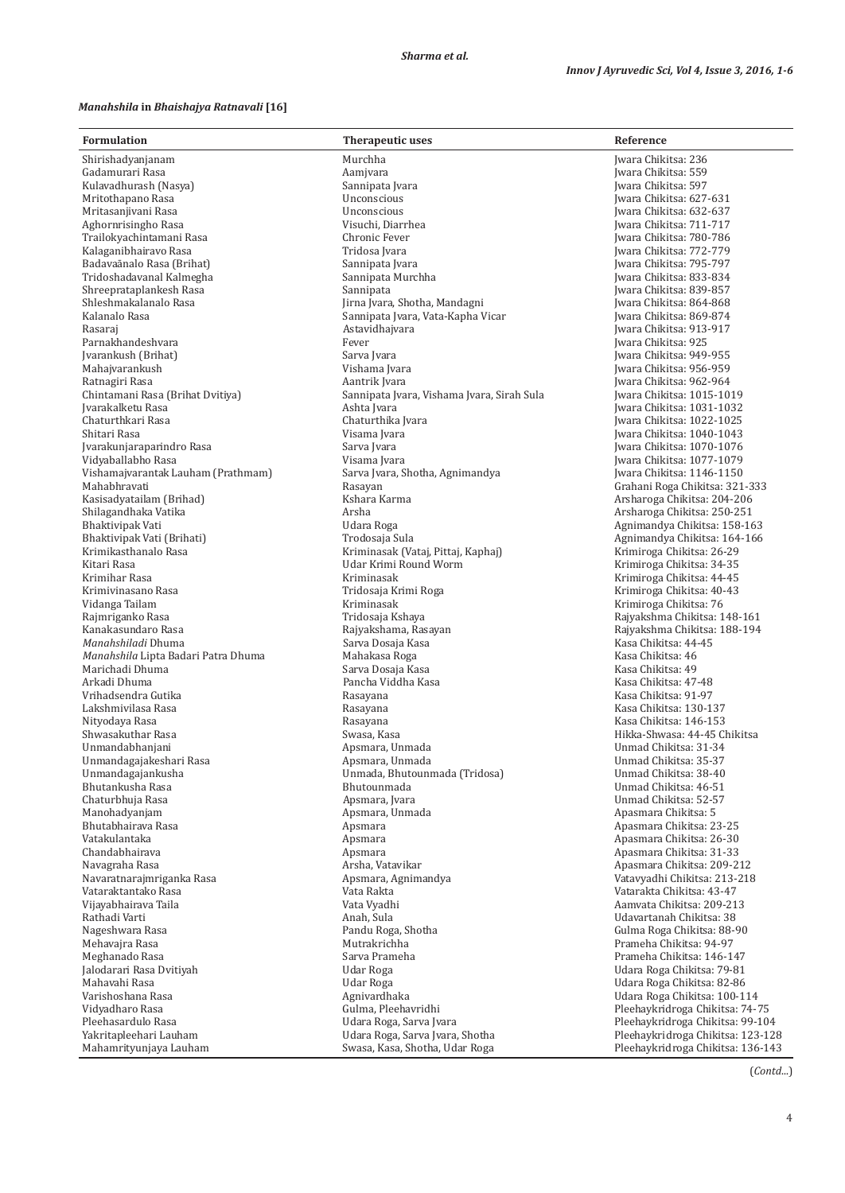### *Manahshila* **in** *Bhaishajya Ratnavali* **[16]**

| <b>Formulation</b>                                  | Therapeutic uses                           | Reference                                                  |
|-----------------------------------------------------|--------------------------------------------|------------------------------------------------------------|
| Shirishadyanjanam                                   | Murchha                                    | Iwara Chikitsa: 236                                        |
| Gadamurari Rasa                                     | Aamjvara                                   | Iwara Chikitsa: 559                                        |
| Kulavadhurash (Nasya)                               | Sannipata Jvara                            | Iwara Chikitsa: 597                                        |
| Mritothapano Rasa                                   | Unconscious                                | Iwara Chikitsa: 627-631                                    |
| Mritasanjiyani Rasa                                 | Unconscious                                | Iwara Chikitsa: 632-637                                    |
| Aghornrisingho Rasa                                 | Visuchi, Diarrhea                          | Iwara Chikitsa: 711-717                                    |
| Trailokyachintamani Rasa                            | Chronic Fever                              | Iwara Chikitsa: 780-786                                    |
| Kalaganibhairavo Rasa                               | Tridosa Jvara                              | Iwara Chikitsa: 772-779                                    |
| Badavaānalo Rasa (Brihat)                           | Sannipata Jvara                            | Iwara Chikitsa: 795-797                                    |
| Tridoshadavanal Kalmegha<br>Shreeprataplankesh Rasa | Sannipata Murchha<br>Sannipata             | Iwara Chikitsa: 833-834<br>Iwara Chikitsa: 839-857         |
| Shleshmakalanalo Rasa                               | Jirna Jvara, Shotha, Mandagni              | Iwara Chikitsa: 864-868                                    |
| Kalanalo Rasa                                       | Sannipata Jvara, Vata-Kapha Vicar          | Iwara Chikitsa: 869-874                                    |
| Rasaraj                                             | Astavidhajvara                             | Iwara Chikitsa: 913-917                                    |
| Parnakhandeshvara                                   | Fever                                      | Jwara Chikitsa: 925                                        |
| Jvarankush (Brihat)                                 | Sarva Jvara                                | Iwara Chikitsa: 949-955                                    |
| Mahajvarankush                                      | Vishama Jvara                              | Iwara Chikitsa: 956-959                                    |
| Ratnagiri Rasa                                      | Aantrik Jvara                              | Iwara Chikitsa: 962-964                                    |
| Chintamani Rasa (Brihat Dvitiya)                    | Sannipata Jvara, Vishama Jvara, Sirah Sula | Iwara Chikitsa: 1015-1019                                  |
| Jvarakalketu Rasa                                   | Ashta Jvara                                | Iwara Chikitsa: 1031-1032                                  |
| Chaturthkari Rasa<br>Shitari Rasa                   | Chaturthika Ivara<br>Visama Jvara          | Iwara Chikitsa: 1022-1025<br>Iwara Chikitsa: 1040-1043     |
| Jvarakunjaraparindro Rasa                           | Sarva Jvara                                | Iwara Chikitsa: 1070-1076                                  |
| Vidyaballabho Rasa                                  | Visama Jvara                               | Iwara Chikitsa: 1077-1079                                  |
| Vishamajvarantak Lauham (Prathmam)                  | Sarva Jvara, Shotha, Agnimandya            | Jwara Chikitsa: 1146-1150                                  |
| Mahabhravati                                        | Rasayan                                    | Grahani Roga Chikitsa: 321-333                             |
| Kasisadyatailam (Brihad)                            | Kshara Karma                               | Arsharoga Chikitsa: 204-206                                |
| Shilagandhaka Vatika                                | Arsha                                      | Arsharoga Chikitsa: 250-251                                |
| Bhaktivipak Vati                                    | Udara Roga                                 | Agnimandya Chikitsa: 158-163                               |
| Bhaktivipak Vati (Brihati)                          | Trodosaja Sula                             | Agnimandya Chikitsa: 164-166                               |
| Krimikasthanalo Rasa                                | Kriminasak (Vataj, Pittaj, Kaphaj)         | Krimiroga Chikitsa: 26-29                                  |
| Kitari Rasa<br>Krimihar Rasa                        | Udar Krimi Round Worm<br>Kriminasak        | Krimiroga Chikitsa: 34-35<br>Krimiroga Chikitsa: 44-45     |
| Krimivinasano Rasa                                  | Tridosaja Krimi Roga                       | Krimiroga Chikitsa: 40-43                                  |
| Vidanga Tailam                                      | Kriminasak                                 | Krimiroga Chikitsa: 76                                     |
| Rajmriganko Rasa                                    | Tridosaja Kshaya                           | Rajyakshma Chikitsa: 148-161                               |
| Kanakasundaro Rasa                                  | Rajyakshama, Rasayan                       | Rajyakshma Chikitsa: 188-194                               |
| Manahshiladi Dhuma                                  | Sarva Dosaja Kasa                          | Kasa Chikitsa: 44-45                                       |
| Manahshila Lipta Badari Patra Dhuma                 | Mahakasa Roga                              | Kasa Chikitsa: 46                                          |
| Marichadi Dhuma                                     | Sarva Dosaja Kasa                          | Kasa Chikitsa: 49                                          |
| Arkadi Dhuma                                        | Pancha Viddha Kasa                         | Kasa Chikitsa: 47-48                                       |
| Vrihadsendra Gutika<br>Lakshmivilasa Rasa           | Rasayana                                   | Kasa Chikitsa: 91-97<br>Kasa Chikitsa: 130-137             |
| Nityodaya Rasa                                      | Rasayana<br>Rasayana                       | Kasa Chikitsa: 146-153                                     |
| Shwasakuthar Rasa                                   | Swasa, Kasa                                | Hikka-Shwasa: 44-45 Chikitsa                               |
| Unmandabhaniani                                     | Apsmara, Unmada                            | Unmad Chikitsa: 31-34                                      |
| Unmandagajakeshari Rasa                             | Apsmara, Unmada                            | Unmad Chikitsa: 35-37                                      |
| Unmandagajankusha                                   | Unmada, Bhutounmada (Tridosa)              | Unmad Chikitsa: 38-40                                      |
| Bhutankusha Rasa                                    | Bhutounmada                                | Unmad Chikitsa: 46-51                                      |
| Chaturbhuja Rasa                                    | Apsmara, Ivara                             | Unmad Chikitsa: 52-57                                      |
| Manohadyanjam                                       | Apsmara, Unmada                            | Apasmara Chikitsa: 5                                       |
| Bhutabhairava Rasa<br>Vatakulantaka                 | Apsmara<br>Apsmara                         | Apasmara Chikitsa: 23-25                                   |
| Chandabhairava                                      | Apsmara                                    | Apasmara Chikitsa: 26-30<br>Apasmara Chikitsa: 31-33       |
| Navagraha Rasa                                      | Arsha, Vatavikar                           | Apasmara Chikitsa: 209-212                                 |
| Navaratnarajmriganka Rasa                           | Apsmara, Agnimandya                        | Vatavyadhi Chikitsa: 213-218                               |
| Vataraktantako Rasa                                 | Vata Rakta                                 | Vatarakta Chikitsa: 43-47                                  |
| Vijayabhairava Taila                                | Vata Vyadhi                                | Aamvata Chikitsa: 209-213                                  |
| Rathadi Varti                                       | Anah, Sula                                 | Udavartanah Chikitsa: 38                                   |
| Nageshwara Rasa                                     | Pandu Roga, Shotha                         | Gulma Roga Chikitsa: 88-90                                 |
| Mehavajra Rasa                                      | Mutrakrichha                               | Prameha Chikitsa: 94-97                                    |
| Meghanado Rasa                                      | Sarva Prameha                              | Prameha Chikitsa: 146-147                                  |
| Jalodarari Rasa Dvitiyah                            | Udar Roga                                  | Udara Roga Chikitsa: 79-81                                 |
| Mahavahi Rasa<br>Varishoshana Rasa                  | Udar Roga<br>Agnivardhaka                  | Udara Roga Chikitsa: 82-86<br>Udara Roga Chikitsa: 100-114 |
| Vidyadharo Rasa                                     | Gulma, Pleehavridhi                        | Pleehaykridroga Chikitsa: 74-75                            |
| Pleehasardulo Rasa                                  | Udara Roga, Sarva Jvara                    | Pleehaykridroga Chikitsa: 99-104                           |
| Yakritapleehari Lauham                              | Udara Roga, Sarva Jvara, Shotha            | Pleehaykridroga Chikitsa: 123-128                          |
| Mahamrityunjaya Lauham                              | Swasa, Kasa, Shotha, Udar Roga             | Pleehaykridroga Chikitsa: 136-143                          |

(*Contd*...)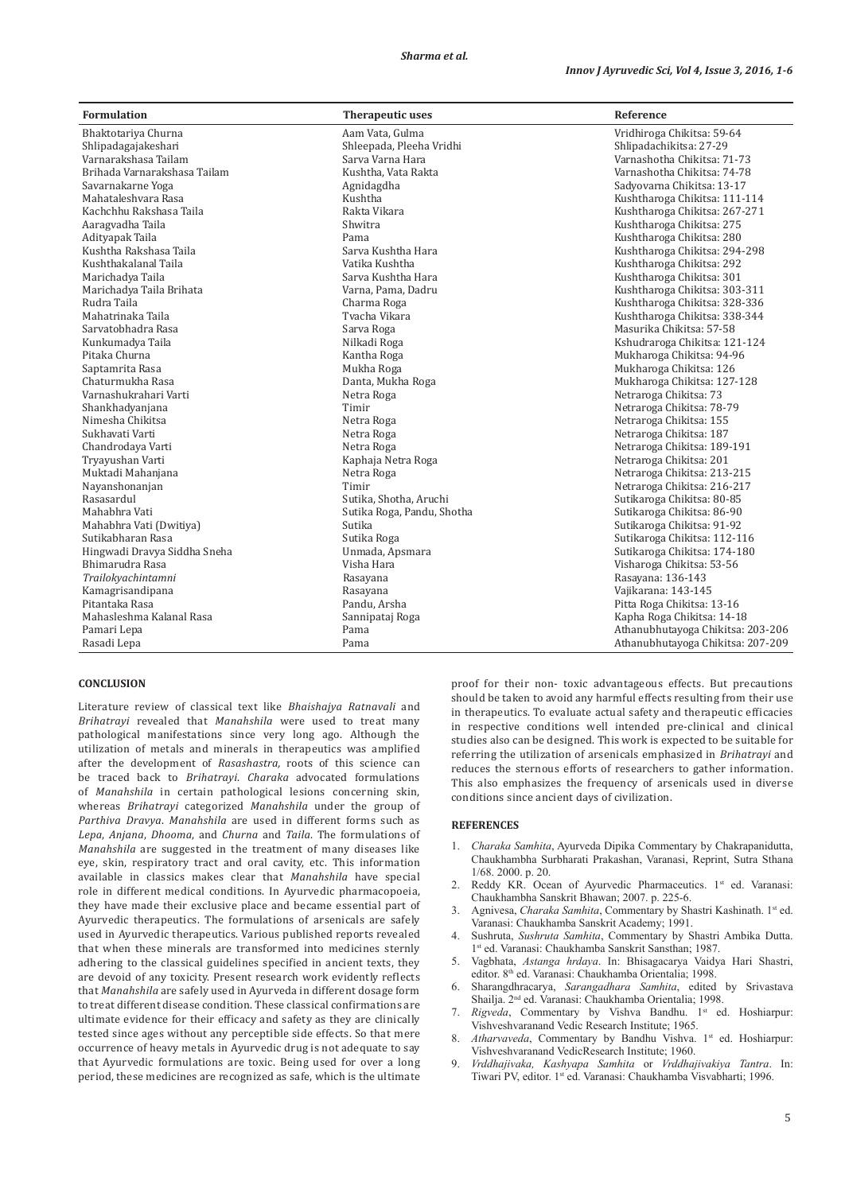| <b>Formulation</b>           | <b>Therapeutic uses</b>    | Reference                         |
|------------------------------|----------------------------|-----------------------------------|
| Bhaktotariya Churna          | Aam Vata, Gulma            | Vridhiroga Chikitsa: 59-64        |
| Shlipadagajakeshari          | Shleepada, Pleeha Vridhi   | Shlipadachikitsa: 27-29           |
| Varnarakshasa Tailam         | Sarva Varna Hara           | Varnashotha Chikitsa: 71-73       |
| Brihada Varnarakshasa Tailam | Kushtha, Vata Rakta        | Varnashotha Chikitsa: 74-78       |
| Savarnakarne Yoga            | Agnidagdha                 | Sadyovarna Chikitsa: 13-17        |
| Mahataleshyara Rasa          | Kushtha                    | Kushtharoga Chikitsa: 111-114     |
| Kachchhu Rakshasa Taila      | Rakta Vikara               | Kushtharoga Chikitsa: 267-271     |
| Aaragvadha Taila             | Shwitra                    | Kushtharoga Chikitsa: 275         |
| Adityapak Taila              | Pama                       | Kushtharoga Chikitsa: 280         |
| Kushtha Rakshasa Taila       | Sarva Kushtha Hara         | Kushtharoga Chikitsa: 294-298     |
| Kushthakalanal Taila         | Vatika Kushtha             | Kushtharoga Chikitsa: 292         |
| Marichadya Taila             | Sarva Kushtha Hara         | Kushtharoga Chikitsa: 301         |
| Marichadya Taila Brihata     | Varna, Pama, Dadru         | Kushtharoga Chikitsa: 303-311     |
| Rudra Taila                  | Charma Roga                | Kushtharoga Chikitsa: 328-336     |
| Mahatrinaka Taila            | Tvacha Vikara              | Kushtharoga Chikitsa: 338-344     |
| Sarvatobhadra Rasa           | Sarva Roga                 | Masurika Chikitsa: 57-58          |
| Kunkumadya Taila             | Nilkadi Roga               | Kshudraroga Chikitsa: 121-124     |
| Pitaka Churna                | Kantha Roga                | Mukharoga Chikitsa: 94-96         |
| Saptamrita Rasa              | Mukha Roga                 | Mukharoga Chikitsa: 126           |
| Chaturmukha Rasa             | Danta, Mukha Roga          | Mukharoga Chikitsa: 127-128       |
| Varnashukrahari Varti        | Netra Roga                 | Netraroga Chikitsa: 73            |
| Shankhadyanjana              | Timir                      | Netraroga Chikitsa: 78-79         |
| Nimesha Chikitsa             | Netra Roga                 | Netraroga Chikitsa: 155           |
| Sukhavati Varti              | Netra Roga                 | Netraroga Chikitsa: 187           |
| Chandrodaya Varti            | Netra Roga                 | Netraroga Chikitsa: 189-191       |
| Tryayushan Varti             | Kaphaja Netra Roga         | Netraroga Chikitsa: 201           |
| Muktadi Mahanjana            | Netra Roga                 | Netraroga Chikitsa: 213-215       |
| Nayanshonanjan               | Timir                      | Netraroga Chikitsa: 216-217       |
| Rasasardul                   | Sutika, Shotha, Aruchi     | Sutikaroga Chikitsa: 80-85        |
| Mahabhra Vati                | Sutika Roga, Pandu, Shotha | Sutikaroga Chikitsa: 86-90        |
| Mahabhra Vati (Dwitiya)      | Sutika                     | Sutikaroga Chikitsa: 91-92        |
| Sutikabharan Rasa            | Sutika Roga                | Sutikaroga Chikitsa: 112-116      |
| Hingwadi Dravya Siddha Sneha | Unmada, Apsmara            | Sutikaroga Chikitsa: 174-180      |
| Bhimarudra Rasa              | Visha Hara                 | Visharoga Chikitsa: 53-56         |
| Trailokyachintamni           | Rasayana                   | Rasayana: 136-143                 |
| Kamagrisandipana             | Rasayana                   | Vajikarana: 143-145               |
| Pitantaka Rasa               | Pandu, Arsha               | Pitta Roga Chikitsa: 13-16        |
| Mahasleshma Kalanal Rasa     | Sannipataj Roga            | Kapha Roga Chikitsa: 14-18        |
| Pamari Lepa                  | Pama                       | Athanubhutayoga Chikitsa: 203-206 |
| Rasadi Lepa                  | Pama                       | Athanubhutayoga Chikitsa: 207-209 |

#### **CONCLUSION**

Literature review of classical text like *Bhaishajya Ratnavali* and *Brihatrayi* revealed that *Manahshila* were used to treat many pathological manifestations since very long ago. Although the utilization of metals and minerals in therapeutics was amplified after the development of *Rasashastra,* roots of this science can be traced back to *Brihatrayi*. *Charaka* advocated formulations of *Manahshila* in certain pathological lesions concerning skin, whereas *Brihatrayi* categorized *Manahshila* under the group of *Parthiva Dravya*. *Manahshila* are used in different forms such as *Lepa*, *Anjana*, *Dhooma*, and *Churna* and *Taila*. The formulations of *Manahshila* are suggested in the treatment of many diseases like eye, skin, respiratory tract and oral cavity, etc. This information available in classics makes clear that *Manahshila* have special role in different medical conditions. In Ayurvedic pharmacopoeia, they have made their exclusive place and became essential part of Ayurvedic therapeutics. The formulations of arsenicals are safely used in Ayurvedic therapeutics. Various published reports revealed that when these minerals are transformed into medicines sternly adhering to the classical guidelines specified in ancient texts, they are devoid of any toxicity. Present research work evidently reflects that *Manahshila* are safely used in Ayurveda in different dosage form to treat different disease condition. These classical confirmations are ultimate evidence for their efficacy and safety as they are clinically tested since ages without any perceptible side effects. So that mere occurrence of heavy metals in Ayurvedic drug is not adequate to say that Ayurvedic formulations are toxic. Being used for over a long period, these medicines are recognized as safe, which is the ultimate proof for their non- toxic advantageous effects. But precautions should be taken to avoid any harmful effects resulting from their use in therapeutics. To evaluate actual safety and therapeutic efficacies in respective conditions well intended pre-clinical and clinical studies also can be designed. This work is expected to be suitable for referring the utilization of arsenicals emphasized in *Brihatrayi* and reduces the sternous efforts of researchers to gather information. This also emphasizes the frequency of arsenicals used in diverse conditions since ancient days of civilization.

#### **REFERENCES**

- 1. *Charaka Samhita*, Ayurveda Dipika Commentary by Chakrapanidutta, Chaukhambha Surbharati Prakashan, Varanasi, Reprint, Sutra Sthana 1/68. 2000. p. 20.
- 2. Reddy KR. Ocean of Ayurvedic Pharmaceutics. 1<sup>st</sup> ed. Varanasi: Chaukhambha Sanskrit Bhawan; 2007. p. 225-6.
- Agnivesa, *Charaka Samhita*, Commentary by Shastri Kashinath. 1<sup>st</sup> ed. Varanasi: Chaukhamba Sanskrit Academy; 1991.
- 4. Sushruta, *Sushruta Samhita*, Commentary by Shastri Ambika Dutta. 1st ed. Varanasi: Chaukhamba Sanskrit Sansthan; 1987.
- 5. Vagbhata, *Astanga hrdaya*. In: Bhisagacarya Vaidya Hari Shastri, editor. 8th ed. Varanasi: Chaukhamba Orientalia; 1998.
- 6. Sharangdhracarya, *Sarangadhara Samhita*, edited by Srivastava Shailja. 2nd ed. Varanasi: Chaukhamba Orientalia; 1998.
- 7. *Rigveda*, Commentary by Vishva Bandhu. 1st ed. Hoshiarpur: Vishveshvaranand Vedic Research Institute; 1965.
- Atharvaveda, Commentary by Bandhu Vishva. 1<sup>st</sup> ed. Hoshiarpur: Vishveshvaranand VedicResearch Institute; 1960.
- 9. *Vrddhajivaka, Kashyapa Samhita* or *Vrddhajivakiya Tantra*. In: Tiwari PV, editor. 1st ed. Varanasi: Chaukhamba Visvabharti; 1996.